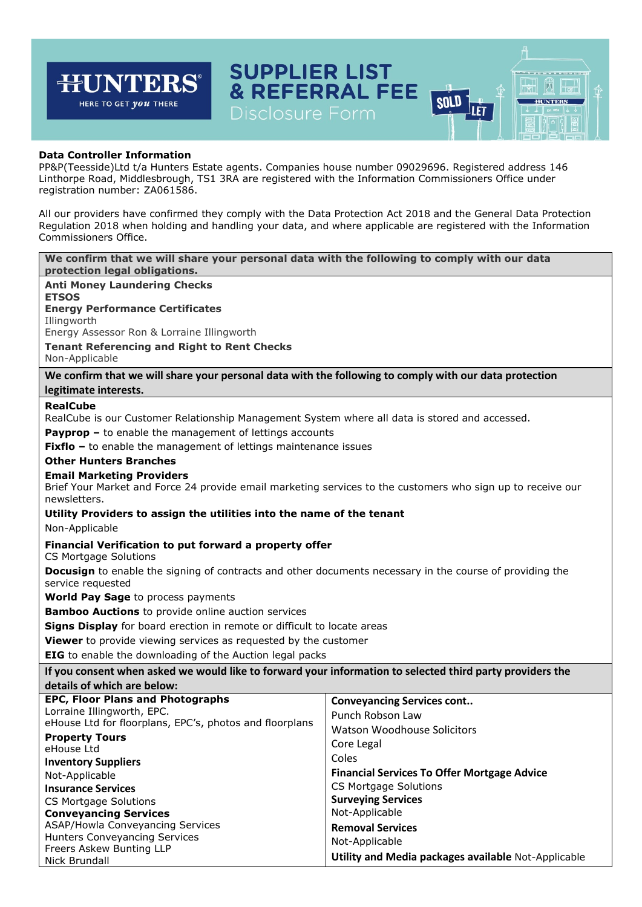## **SUPPLIER LIST HUNTERS & REFERRAL FEE** 闶  $\mathbb{H}_{\mathbf{e}}$ **SOLD** HERE TO GET *you* THERE **HUNTERS** JLÈT Disclosure Form **Data Controller Information** PP&P(Teesside)Ltd t/a Hunters Estate agents. Companies house number 09029696. Registered address 146 Linthorpe Road, Middlesbrough, TS1 3RA are registered with the Information Commissioners Office under registration number: ZA061586. All our providers have confirmed they comply with the Data Protection Act 2018 and the General Data Protection Regulation 2018 when holding and handling your data, and where applicable are registered with the Information Commissioners Office. **We confirm that we will share your personal data with the following to comply with our data protection legal obligations. Anti Money Laundering Checks ETSOS Energy Performance Certificates** Illingworth Energy Assessor Ron & Lorraine Illingworth **Tenant Referencing and Right to Rent Checks** Non-Applicable **We confirm that we will share your personal data with the following to comply with our data protection legitimate interests. RealCube** RealCube is our Customer Relationship Management System where all data is stored and accessed. **Payprop –** to enable the management of lettings accounts **Fixflo** – to enable the management of lettings maintenance issues **Other Hunters Branches Email Marketing Providers** Brief Your Market and Force 24 provide email marketing services to the customers who sign up to receive our newsletters. **Utility Providers to assign the utilities into the name of the tenant** Non-Applicable **Financial Verification to put forward a property offer** CS Mortgage Solutions **Docusign** to enable the signing of contracts and other documents necessary in the course of providing the service requested **World Pay Sage** to process payments **Bamboo Auctions** to provide online auction services **Signs Display** for board erection in remote or difficult to locate areas **Viewer** to provide viewing services as requested by the customer **EIG** to enable the downloading of the Auction legal packs **If you consent when asked we would like to forward your information to selected third party providers the details of which are below: EPC, Floor Plans and Photographs Conveyancing Services cont..** Lorraine Illingworth, EPC. Punch Robson Law eHouse Ltd for floorplans, EPC's, photos and floorplans Watson Woodhouse Solicitors **Property Tours** Core Legal eHouse Ltd Coles **Inventory Suppliers Financial Services To Offer Mortgage Advice** Not-Applicable CS Mortgage Solutions **Insurance Services Surveying Services** CS Mortgage Solutions Not-Applicable **Conveyancing Services** ASAP/Howla Conveyancing Services **Removal Services** Hunters Conveyancing Services Not-Applicable Freers Askew Bunting LLP **Utility and Media packages available** Not-ApplicableNick Brundall